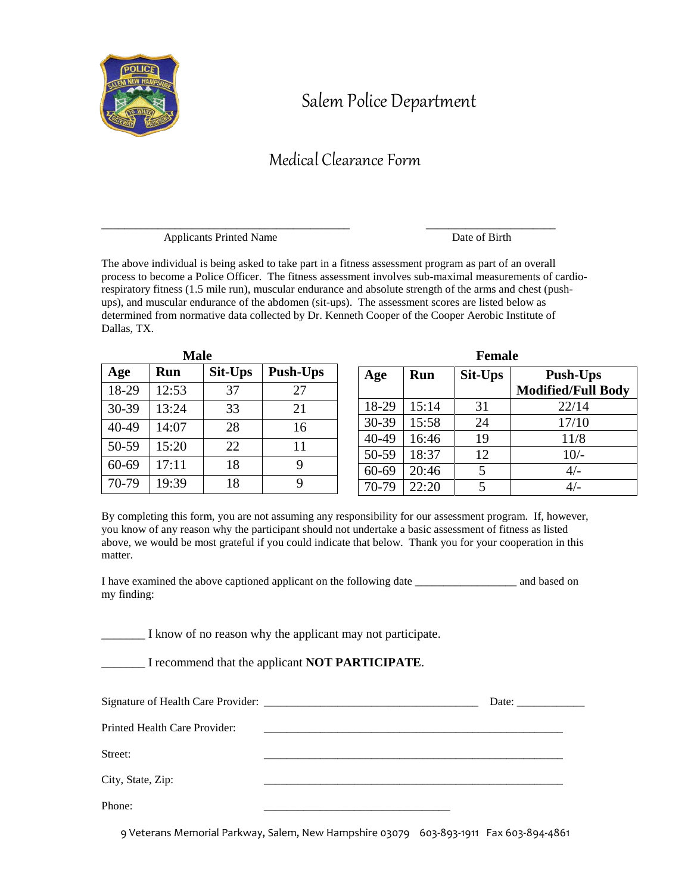

## Salem Police Department

## Medical Clearance Form

Applicants Printed Name Date of Birth

\_\_\_\_\_\_\_\_\_\_\_\_\_\_\_\_\_\_\_\_\_\_\_\_\_\_\_\_\_\_\_\_\_\_\_\_\_\_\_\_\_\_\_\_ \_\_\_\_\_\_\_\_\_\_\_\_\_\_\_\_\_\_\_\_\_\_\_

The above individual is being asked to take part in a fitness assessment program as part of an overall process to become a Police Officer. The fitness assessment involves sub-maximal measurements of cardiorespiratory fitness (1.5 mile run), muscular endurance and absolute strength of the arms and chest (pushups), and muscular endurance of the abdomen (sit-ups). The assessment scores are listed below as determined from normative data collected by Dr. Kenneth Cooper of the Cooper Aerobic Institute of Dallas, TX.

| <b>Male</b> |            |         |                 |  | <b>Female</b> |       |         |  |
|-------------|------------|---------|-----------------|--|---------------|-------|---------|--|
| Age         | <b>Run</b> | Sit-Ups | <b>Push-Ups</b> |  | Age           | Run   | Sit-Ups |  |
| 18-29       | 12:53      | 37      | 27              |  |               |       |         |  |
| 30-39       | 13:24      | 33      | 21              |  | 18-29         | 15:14 | 31      |  |
| 40-49       | 14:07      | 28      | 16              |  | 30-39         | 15:58 | 24      |  |
| 50-59       | 15:20      | 22      | 11              |  | 40-49         | 16:46 | 19      |  |
|             |            |         |                 |  | 50-59         | 18:37 | 12      |  |
| 60-69       | 17:11      | 18      | 9               |  | 60-69         | 20:46 |         |  |
| 70-79       | 19:39      | 18      | 9               |  | 70-79         | 22:20 | 5       |  |

| Female    |            |         |                                              |  |  |  |  |
|-----------|------------|---------|----------------------------------------------|--|--|--|--|
| Age       | <b>Run</b> | Sit-Ups | <b>Push-Ups</b><br><b>Modified/Full Body</b> |  |  |  |  |
| 18-29     | 15:14      | 31      | 22/14                                        |  |  |  |  |
| $30 - 39$ | 15:58      | 24      | 17/10                                        |  |  |  |  |
| 40-49     | 16:46      | 19      | 11/8                                         |  |  |  |  |
| 50-59     | 18:37      | 12      | $10/-$                                       |  |  |  |  |
| 60-69     | 20:46      | 5       | $4/-$                                        |  |  |  |  |
| 70-79     | 22:20      | 5       | $4/-$                                        |  |  |  |  |

By completing this form, you are not assuming any responsibility for our assessment program. If, however, you know of any reason why the participant should not undertake a basic assessment of fitness as listed above, we would be most grateful if you could indicate that below. Thank you for your cooperation in this matter.

I have examined the above captioned applicant on the following date \_\_\_\_\_\_\_\_\_\_\_\_\_\_\_\_\_\_ and based on my finding:

\_\_\_\_\_\_\_ I know of no reason why the applicant may not participate.

\_\_\_\_\_\_\_ I recommend that the applicant **NOT PARTICIPATE**.

|                                      | Date: |
|--------------------------------------|-------|
| <b>Printed Health Care Provider:</b> |       |
| Street:                              |       |
| City, State, Zip:                    |       |
| Phone:                               |       |

9 Veterans Memorial Parkway, Salem, New Hampshire 03079 603-893-1911 Fax 603-894-4861